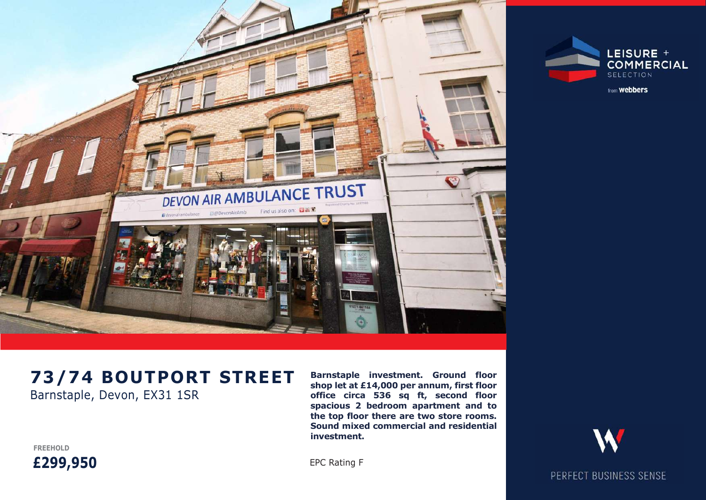



from **Webbers** 

# Barnstaple, Devon, EX31 1SR

Barnstaple investment. Ground floor shop let at £14,000 per annum, first floor office circa 536 sq ft, second floor spacious 2 bedroom apartment and to the top floor there are two store rooms. Sound mixed commercial and residential investment.

FREEHOLD £299,950

PERFECT BUSINESS SENSE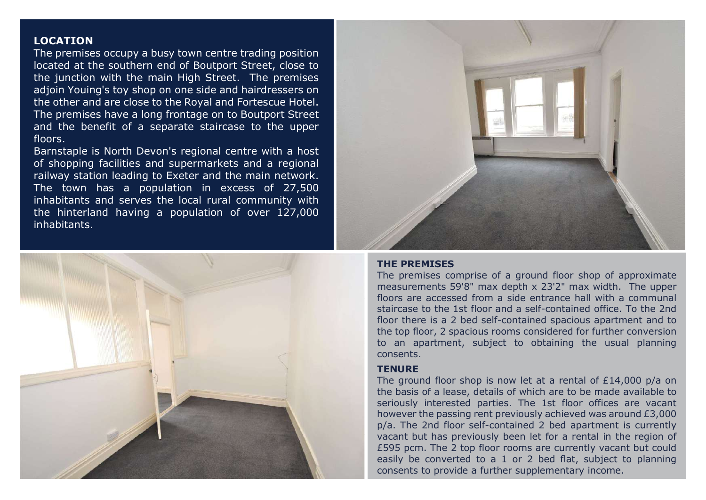## LOCATION

The premises occupy a busy town centre trading position located at the southern end of Boutport Street, close to the junction with the main High Street. The premises adjoin Youing's toy shop on one side and hairdressers on the other and are close to the Royal and Fortescue Hotel. The premises have a long frontage on to Boutport Street and the benefit of a separate staircase to the upper floors.

Barnstaple is North Devon's regional centre with a host of shopping facilities and supermarkets and a regional railway station leading to Exeter and the main network. The town has a population in excess of 27,500 inhabitants and serves the local rural community with the hinterland having a population of over 127,000 inhabitants.





## THE PREMISES

The premises comprise of a ground floor shop of approximate measurements 59'8" max depth x 23'2" max width. The upper floors are accessed from a side entrance hall with a communal staircase to the 1st floor and a self-contained office. To the 2nd floor there is a 2 bed self-contained spacious apartment and to the top floor, 2 spacious rooms considered for further conversion to an apartment, subject to obtaining the usual planning consents.

## **TENURE**

The ground floor shop is now let at a rental of £14,000 p/a on the basis of a lease, details of which are to be made available to seriously interested parties. The 1st floor offices are vacant however the passing rent previously achieved was around £3,000 p/a. The 2nd floor self-contained 2 bed apartment is currently vacant but has previously been let for a rental in the region of £595 pcm. The 2 top floor rooms are currently vacant but could easily be converted to a 1 or 2 bed flat, subject to planning consents to provide a further supplementary income.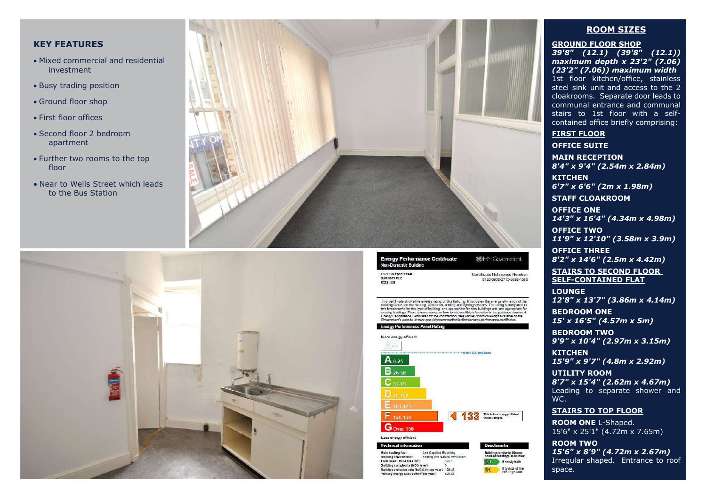## KEY FEATURES

- Mixed commercial and residential investment
- Busy trading position
- Ground floor shop
- First floor offices
- Second floor 2 bedroom apartment
- Further two rooms to the top floor
- Near to Wells Street which leads to the Bus Station





**Energy Performance Certificate** Non-Domestic Building

**13/74 Boutport Street** 

BARNSTAPLE

**EX3115R** 

This certificate shows the energy rating of this building, it includes the energy efficiency of the building setting ventilisting, conting and including systems. The rating is compared to be two benchmates for this type o

**BOHM Government** 

Certificate Reference Number:

Renchmarks

Buildings similar to this one<br>could have ratings as follows

**91** If typical of the

If nowly built

0220-030-2712-5502-1008



#### **Technical informati**

Main heating fuel:<br>Building environment: Grid Supplied Electricity Heating and Natural Ventilation Total useful floor area (m<sup>3</sup>):  $345.1$ Building complexity (NOS level): Building emission rate (kgCO,/m<sup>1</sup>per year): 106.43 Primary energy use (kWh/m'per year): 629.58

#### ROOM SIZES

GROUND FLOOR SHOP

39'8" (12.1) (39'8" (12.1)) maximum depth x 23'2" (7.06) (23'2" (7.06)) maximum width 1st floor kitchen/office, stainless steel sink unit and access to the 2 cloakrooms. Separate door leads to communal entrance and communal stairs to 1st floor with a selfcontained office briefly comprising:

#### FIRST FLOOR

OFFICE SUITE

MAIN RECEPTION 8'4" x 9'4" (2.54m x 2.84m)

**KITCHEN** 6'7" x 6'6" (2m x 1.98m)

STAFF CLOAKROOM

OFFICE ONE 14'3" x 16'4" (4.34m x 4.98m)

OFFICE TWO 11'9" x 12'10" (3.58m x 3.9m)

OFFICE THREE 8'2" x 14'6" (2.5m x 4.42m)

STAIRS TO SECOND FLOOR SELF-CONTAINED FLAT

LOUNGE 12'8" x 13'7" (3.86m x 4.14m)

BEDROOM ONE 15' x 16'5" (4.57m x 5m)

BEDROOM TWO 9'9" x 10'4" (2.97m x 3.15m)

KITCHEN 15'9" x 9'7" (4.8m x 2.92m)

UTILITY ROOM 8'7" x 15'4" (2.62m x 4.67m) Leading to separate shower and WC.

#### STAIRS TO TOP FLOOR

ROOM ONE L-Shaped. 15'6" x 25'1" (4.72m x 7.65m)

ROOM TWO 15'6" x 8'9" (4.72m x 2.67m) Irregular shaped. Entrance to roof space.